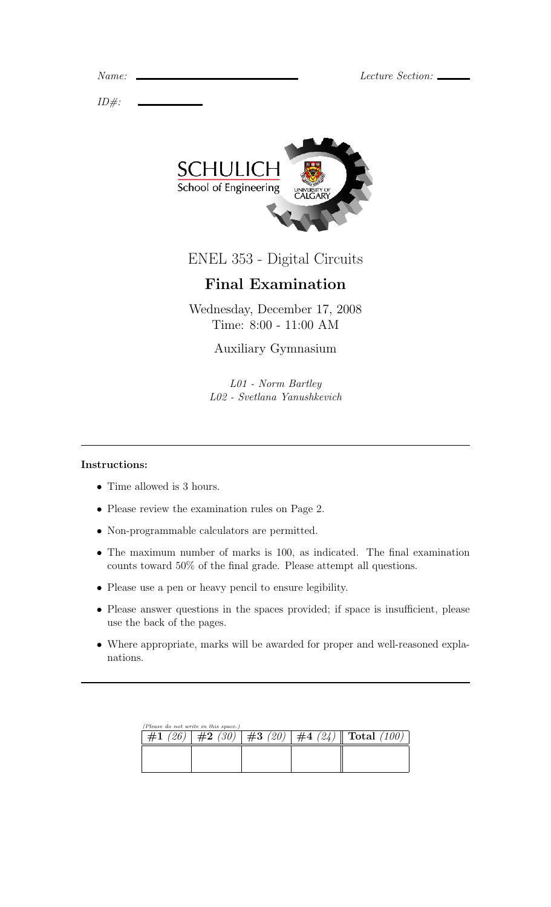Lecture Section:  $\_\_$ 

| Name. |  |
|-------|--|
|       |  |

 $ID#$ :



ENEL 353 - Digital Circuits

# Final Examination

Wednesday, December 17, 2008 Time: 8:00 - 11:00 AM

## Auxiliary Gymnasium

L01 - Norm Bartley L02 - Svetlana Yanushkevich

#### Instructions:

- Time allowed is 3 hours.
- Please review the examination rules on Page 2.
- Non-programmable calculators are permitted.
- The maximum number of marks is 100, as indicated. The final examination counts toward 50% of the final grade. Please attempt all questions.
- Please use a pen or heavy pencil to ensure legibility.
- Please answer questions in the spaces provided; if space is insufficient, please use the back of the pages.
- Where appropriate, marks will be awarded for proper and well-reasoned explanations.

| (Please do not write in this space.) |  |  |  |                                                     |  |  |  |  |  |
|--------------------------------------|--|--|--|-----------------------------------------------------|--|--|--|--|--|
| #1(26)                               |  |  |  | $\#2$ (30)   $\#3$ (20)   $\#4$ (24)    Total (100) |  |  |  |  |  |
|                                      |  |  |  |                                                     |  |  |  |  |  |
|                                      |  |  |  |                                                     |  |  |  |  |  |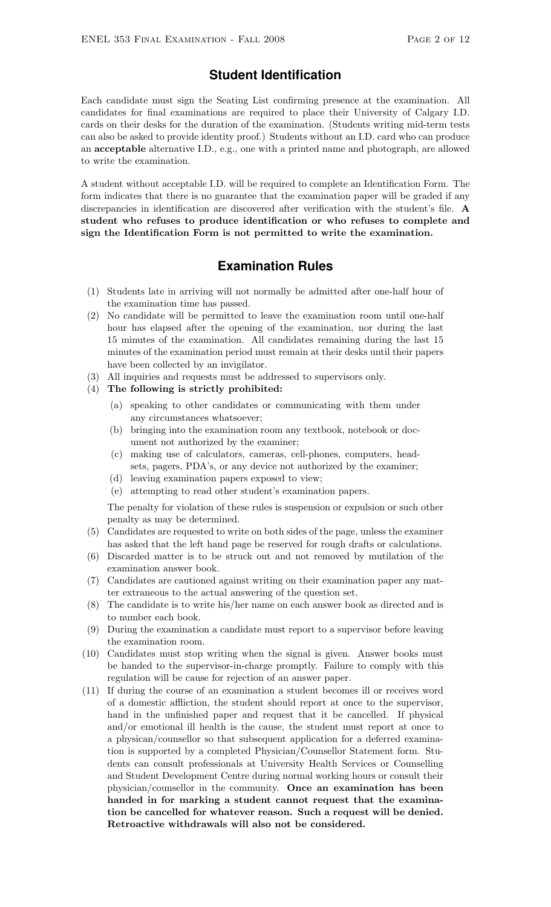### **Student Identification**

Each candidate must sign the Seating List confirming presence at the examination. All candidates for final examinations are required to place their University of Calgary I.D. cards on their desks for the duration of the examination. (Students writing mid-term tests can also be asked to provide identity proof.) Students without an I.D. card who can produce an acceptable alternative I.D., e.g., one with a printed name and photograph, are allowed to write the examination.

A student without acceptable I.D. will be required to complete an Identification Form. The form indicates that there is no guarantee that the examination paper will be graded if any discrepancies in identification are discovered after verification with the student's file. A student who refuses to produce identification or who refuses to complete and sign the Identification Form is not permitted to write the examination.

#### **Examination Rules**

- (1) Students late in arriving will not normally be admitted after one-half hour of the examination time has passed.
- (2) No candidate will be permitted to leave the examination room until one-half hour has elapsed after the opening of the examination, nor during the last 15 minutes of the examination. All candidates remaining during the last 15 minutes of the examination period must remain at their desks until their papers have been collected by an invigilator.
- (3) All inquiries and requests must be addressed to supervisors only.
- (4) The following is strictly prohibited:
	- (a) speaking to other candidates or communicating with them under any circumstances whatsoever;
	- (b) bringing into the examination room any textbook, notebook or document not authorized by the examiner;
	- (c) making use of calculators, cameras, cell-phones, computers, headsets, pagers, PDA's, or any device not authorized by the examiner;
	- (d) leaving examination papers exposed to view;
	- (e) attempting to read other student's examination papers.

The penalty for violation of these rules is suspension or expulsion or such other penalty as may be determined.

- (5) Candidates are requested to write on both sides of the page, unless the examiner has asked that the left hand page be reserved for rough drafts or calculations.
- (6) Discarded matter is to be struck out and not removed by mutilation of the examination answer book.
- (7) Candidates are cautioned against writing on their examination paper any matter extraneous to the actual answering of the question set.
- (8) The candidate is to write his/her name on each answer book as directed and is to number each book.
- (9) During the examination a candidate must report to a supervisor before leaving the examination room.
- (10) Candidates must stop writing when the signal is given. Answer books must be handed to the supervisor-in-charge promptly. Failure to comply with this regulation will be cause for rejection of an answer paper.
- (11) If during the course of an examination a student becomes ill or receives word of a domestic affliction, the student should report at once to the supervisor, hand in the unfinished paper and request that it be cancelled. If physical and/or emotional ill health is the cause, the student must report at once to a physican/counsellor so that subsequent application for a deferred examination is supported by a completed Physician/Counsellor Statement form. Students can consult professionals at University Health Services or Counselling and Student Development Centre during normal working hours or consult their physician/counsellor in the community. Once an examination has been handed in for marking a student cannot request that the examination be cancelled for whatever reason. Such a request will be denied. Retroactive withdrawals will also not be considered.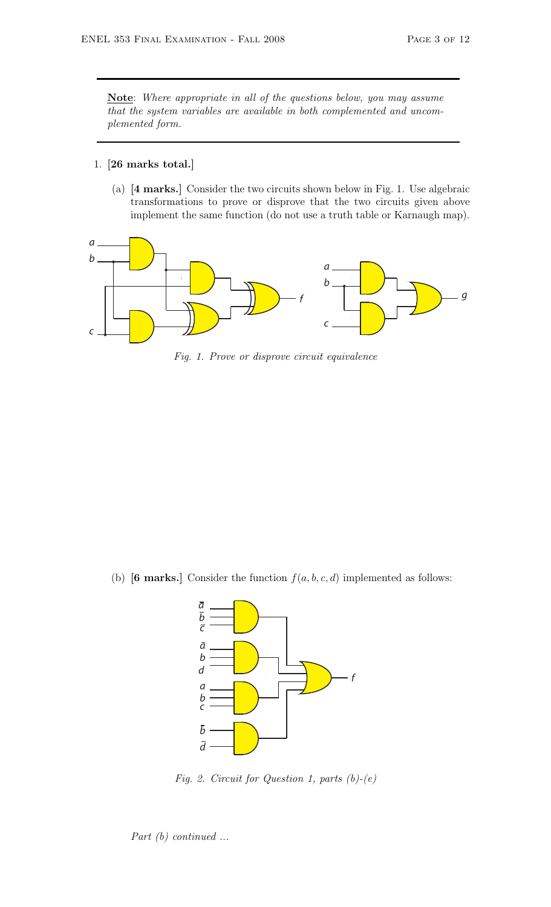Note: Where appropriate in all of the questions below, you may assume that the system variables are available in both complemented and uncomplemented form.

#### 1. [26 marks total.]

(a) [4 marks.] Consider the two circuits shown below in Fig. 1. Use algebraic transformations to prove or disprove that the two circuits given above implement the same function (do not use a truth table or Karnaugh map).



Fig. 1. Prove or disprove circuit equivalence

(b) [6 marks.] Consider the function  $f(a, b, c, d)$  implemented as follows:



Fig. 2. Circuit for Question 1, parts  $(b)-(e)$ 

Part (b) continued ...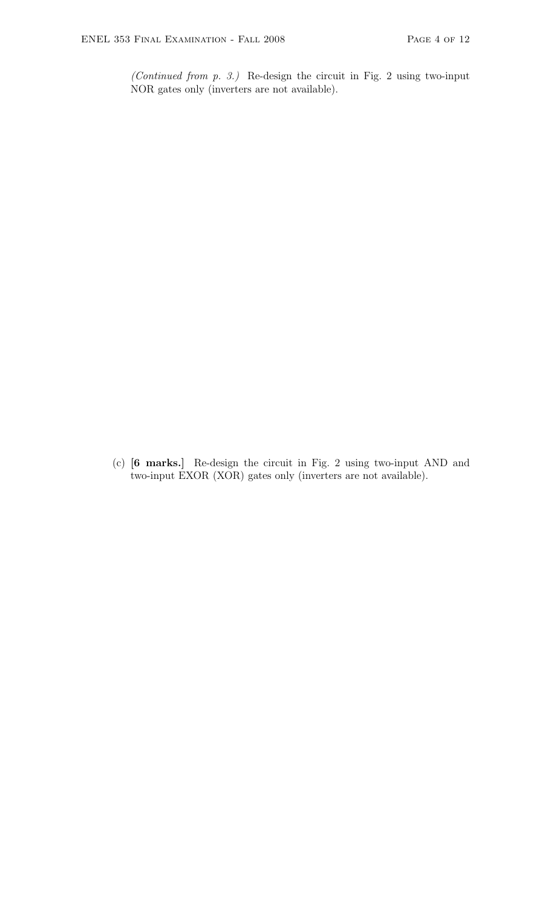(Continued from p. 3.) Re-design the circuit in Fig. 2 using two-input NOR gates only (inverters are not available).

(c) [6 marks.] Re-design the circuit in Fig. 2 using two-input AND and two-input EXOR (XOR) gates only (inverters are not available).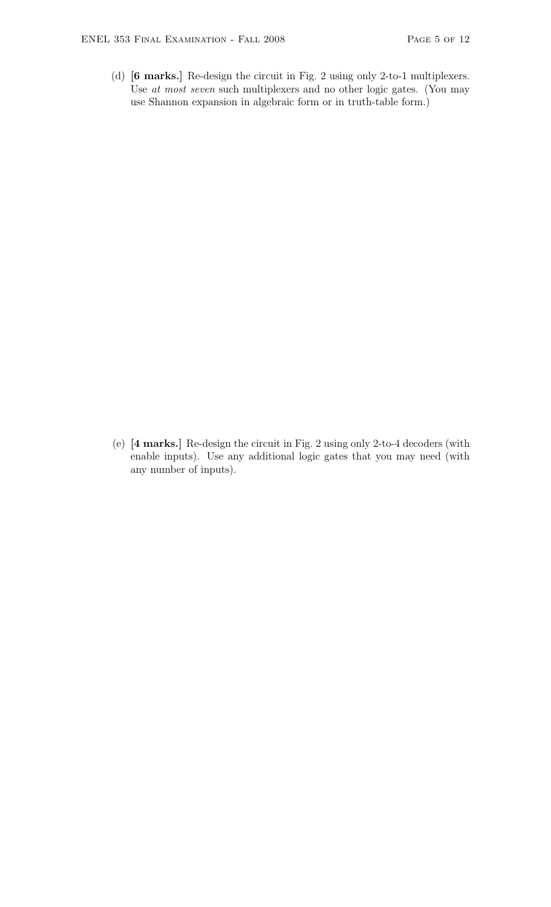(d) [6 marks.] Re-design the circuit in Fig. 2 using only 2-to-1 multiplexers. Use at most seven such multiplexers and no other logic gates. (You may use Shannon expansion in algebraic form or in truth-table form.)

(e) [4 marks.] Re-design the circuit in Fig. 2 using only 2-to-4 decoders (with enable inputs). Use any additional logic gates that you may need (with any number of inputs).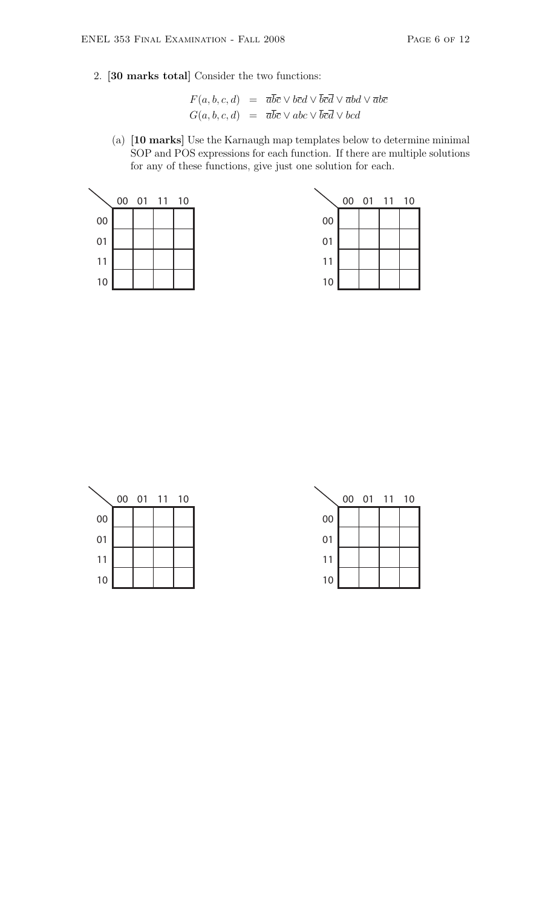2. [30 marks total] Consider the two functions:

$$
F(a, b, c, d) = \overline{a}\overline{b}\overline{c} \vee b\overline{c}d \vee \overline{b}\overline{c}\overline{d} \vee \overline{a}bd \vee \overline{a}b\overline{c}
$$
  

$$
G(a, b, c, d) = \overline{a}\overline{b}\overline{c} \vee abc \vee \overline{b}\overline{c}\overline{d} \vee bcd
$$

(a) [10 marks] Use the Karnaugh map templates below to determine minimal SOP and POS expressions for each function. If there are multiple solutions for any of these functions, give just one solution for each.



|    |  | 00 01 11 10 |    |  | 00 01 11 10 |  |
|----|--|-------------|----|--|-------------|--|
| 00 |  |             | 00 |  |             |  |
| 01 |  |             | 01 |  |             |  |
| 11 |  |             | 11 |  |             |  |
| 10 |  |             | 10 |  |             |  |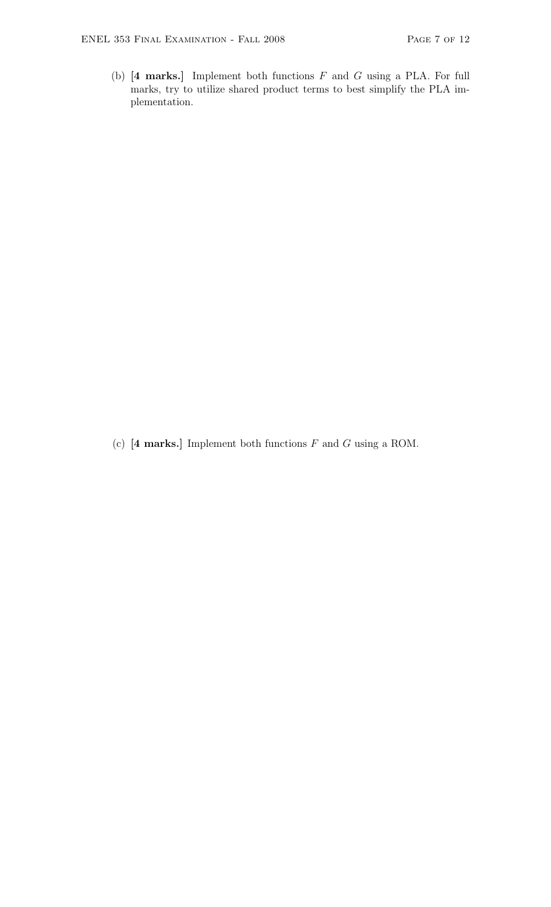(b)  $[4 \text{ marks.}]$  Implement both functions  $F$  and  $G$  using a PLA. For full marks, try to utilize shared product terms to best simplify the PLA implementation.

(c)  $[4 \text{ marks.}]$  Implement both functions  $F$  and  $G$  using a ROM.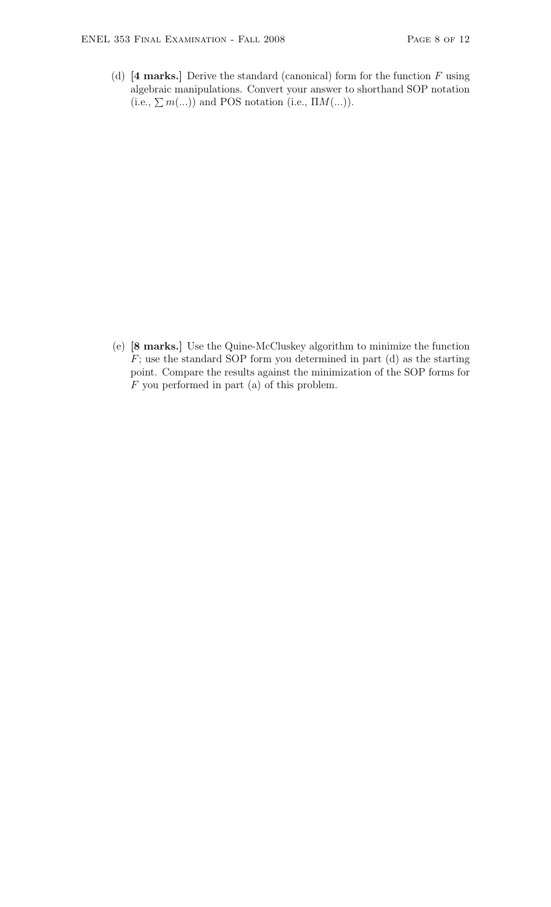(d)  $[4 \text{ marks.}]$  Derive the standard (canonical) form for the function  $F$  using algebraic manipulations. Convert your answer to shorthand SOP notation (i.e.,  $\sum m(...)$ ) and POS notation (i.e.,  $\Pi M(...)$ ).

(e) [8 marks.] Use the Quine-McCluskey algorithm to minimize the function  $F$ ; use the standard SOP form you determined in part (d) as the starting point. Compare the results against the minimization of the SOP forms for F you performed in part (a) of this problem.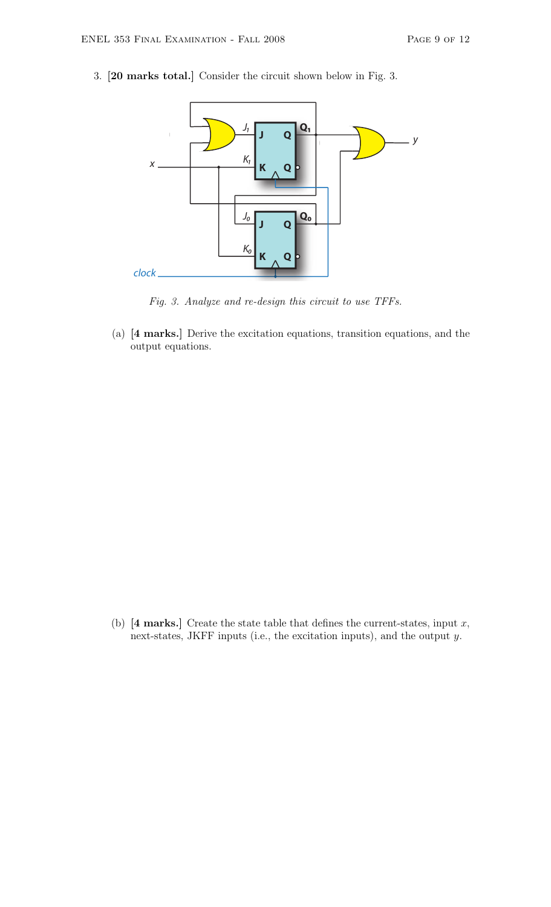

3. [20 marks total.] Consider the circuit shown below in Fig. 3.

Fig. 3. Analyze and re-design this circuit to use TFFs.

(a) [4 marks.] Derive the excitation equations, transition equations, and the output equations.

(b)  $[4 \text{ marks.}]$  Create the state table that defines the current-states, input x, next-states, JKFF inputs (i.e., the excitation inputs), and the output y.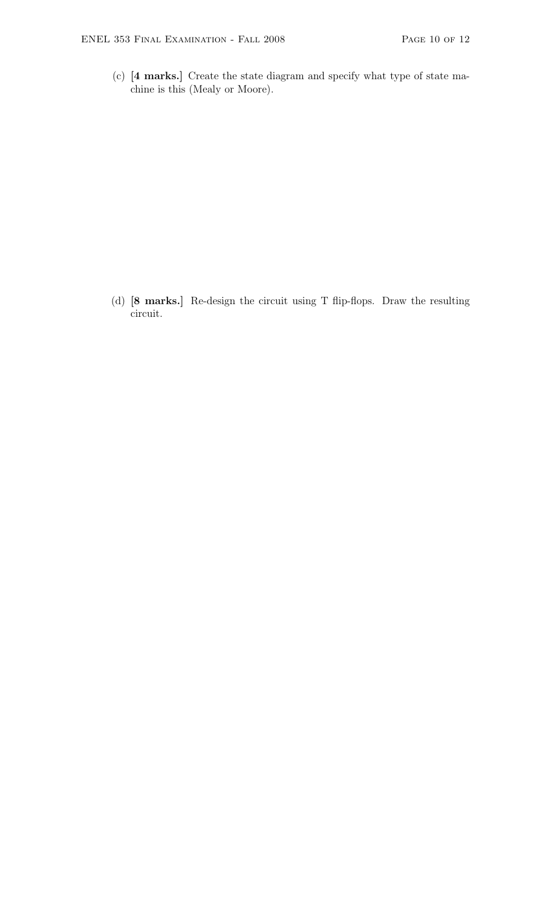(c) [4 marks.] Create the state diagram and specify what type of state machine is this (Mealy or Moore).

(d) [8 marks.] Re-design the circuit using T flip-flops. Draw the resulting circuit.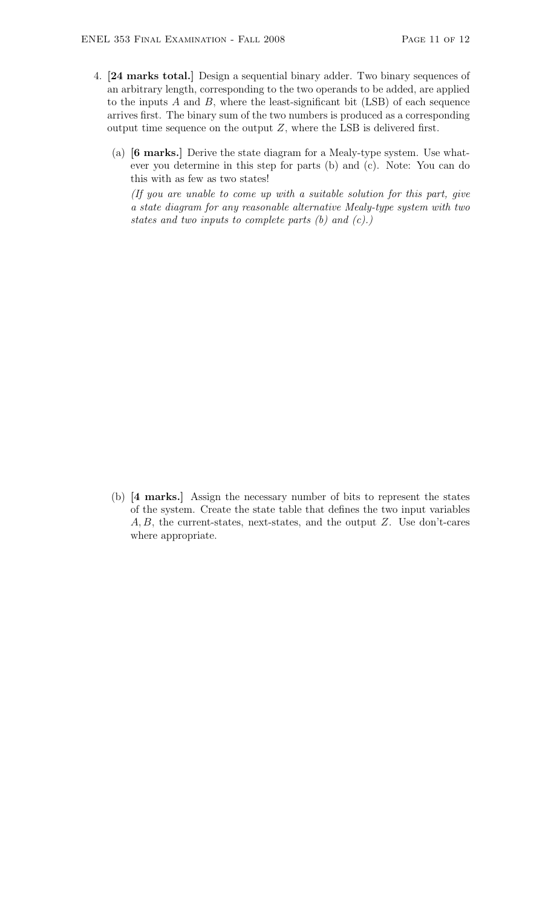- 4. [24 marks total.] Design a sequential binary adder. Two binary sequences of an arbitrary length, corresponding to the two operands to be added, are applied to the inputs  $A$  and  $B$ , where the least-significant bit (LSB) of each sequence arrives first. The binary sum of the two numbers is produced as a corresponding output time sequence on the output  $Z$ , where the LSB is delivered first.
	- (a) [6 marks.] Derive the state diagram for a Mealy-type system. Use whatever you determine in this step for parts (b) and (c). Note: You can do this with as few as two states!

(If you are unable to come up with a suitable solution for this part, give a state diagram for any reasonable alternative Mealy-type system with two states and two inputs to complete parts  $(b)$  and  $(c)$ .)

(b) [4 marks.] Assign the necessary number of bits to represent the states of the system. Create the state table that defines the two input variables A, B, the current-states, next-states, and the output Z. Use don't-cares where appropriate.